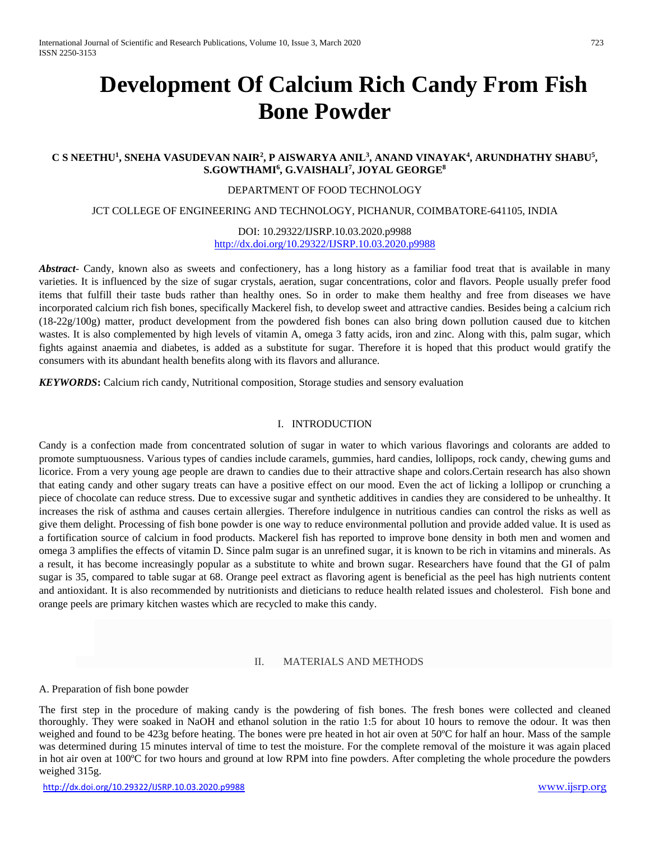# **Development Of Calcium Rich Candy From Fish Bone Powder**

## **C S NEETHU<sup>1</sup> , SNEHA VASUDEVAN NAIR<sup>2</sup> , P AISWARYA ANIL<sup>3</sup> , ANAND VINAYAK<sup>4</sup> , ARUNDHATHY SHABU<sup>5</sup> , S.GOWTHAMI<sup>6</sup> , G.VAISHALI<sup>7</sup> , JOYAL GEORGE<sup>8</sup>**

## DEPARTMENT OF FOOD TECHNOLOGY

#### JCT COLLEGE OF ENGINEERING AND TECHNOLOGY, PICHANUR, COIMBATORE-641105, INDIA

#### DOI: 10.29322/IJSRP.10.03.2020.p9988 <http://dx.doi.org/10.29322/IJSRP.10.03.2020.p9988>

*Abstract*- Candy, known also as sweets and confectionery, has a long history as a familiar food treat that is available in many varieties. It is influenced by the size of sugar crystals, aeration, sugar concentrations, color and flavors. People usually prefer food items that fulfill their taste buds rather than healthy ones. So in order to make them healthy and free from diseases we have incorporated calcium rich fish bones, specifically Mackerel fish, to develop sweet and attractive candies. Besides being a calcium rich (18-22g/100g) matter, product development from the powdered fish bones can also bring down pollution caused due to kitchen wastes. It is also complemented by high levels of vitamin A, omega 3 fatty acids, iron and zinc. Along with this, palm sugar, which fights against anaemia and diabetes, is added as a substitute for sugar. Therefore it is hoped that this product would gratify the consumers with its abundant health benefits along with its flavors and allurance.

*KEYWORDS***:** Calcium rich candy, Nutritional composition, Storage studies and sensory evaluation

## I. INTRODUCTION

Candy is a confection made from concentrated solution of sugar in water to which various flavorings and colorants are added to promote sumptuousness. Various types of candies include caramels, gummies, hard candies, lollipops, rock candy, chewing gums and licorice. From a very young age people are drawn to candies due to their attractive shape and colors.Certain research has also shown that eating candy and other sugary treats can have a positive effect on our mood. Even the act of licking a lollipop or crunching a piece of chocolate can reduce stress. Due to excessive sugar and synthetic additives in candies they are considered to be unhealthy. It increases the risk of asthma and causes certain allergies. Therefore indulgence in nutritious candies can control the risks as well as give them delight. Processing of fish bone powder is one way to reduce environmental pollution and provide added value. It is used as a fortification source of calcium in food products. Mackerel fish has reported to improve bone density in both men and women and omega 3 amplifies the effects of vitamin D. Since palm sugar is an unrefined sugar, it is known to be rich in vitamins and minerals. As a result, it has become increasingly popular as a substitute to white and brown sugar. Researchers have found that the GI of palm sugar is 35, compared to table sugar at 68. Orange peel extract as flavoring agent is beneficial as the peel has high nutrients content and antioxidant. It is also recommended by nutritionists and dieticians to reduce health related issues and cholesterol. Fish bone and orange peels are primary kitchen wastes which are recycled to make this candy.

#### II. MATERIALS AND METHODS

#### A. Preparation of fish bone powder

The first step in the procedure of making candy is the powdering of fish bones. The fresh bones were collected and cleaned thoroughly. They were soaked in NaOH and ethanol solution in the ratio 1:5 for about 10 hours to remove the odour. It was then weighed and found to be 423g before heating. The bones were pre heated in hot air oven at 50°C for half an hour. Mass of the sample was determined during 15 minutes interval of time to test the moisture. For the complete removal of the moisture it was again placed in hot air oven at 100ºC for two hours and ground at low RPM into fine powders. After completing the whole procedure the powders weighed 315g.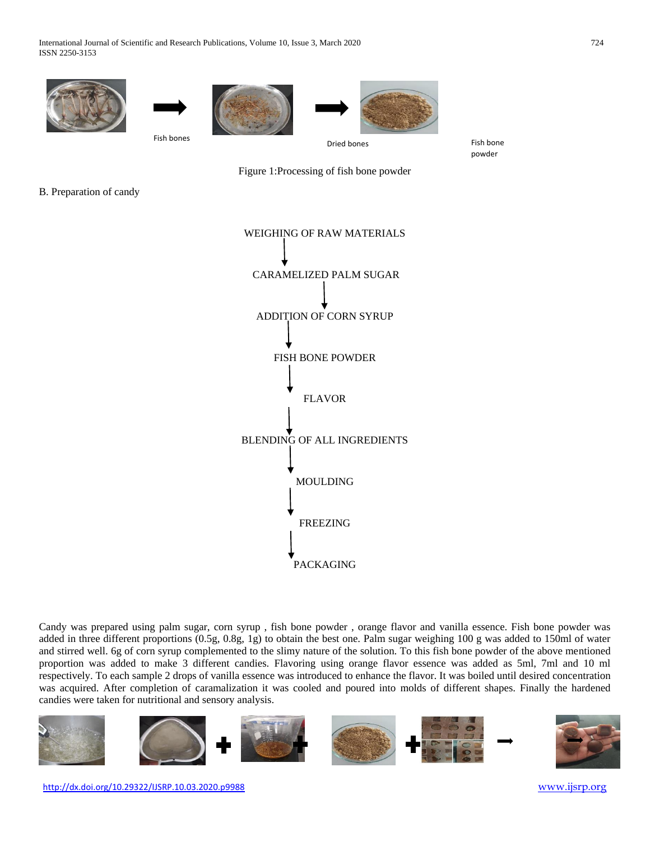

powder



B. Preparation of candy



Candy was prepared using palm sugar, corn syrup , fish bone powder , orange flavor and vanilla essence. Fish bone powder was added in three different proportions (0.5g, 0.8g, 1g) to obtain the best one. Palm sugar weighing 100 g was added to 150ml of water and stirred well. 6g of corn syrup complemented to the slimy nature of the solution. To this fish bone powder of the above mentioned proportion was added to make 3 different candies. Flavoring using orange flavor essence was added as 5ml, 7ml and 10 ml respectively. To each sample 2 drops of vanilla essence was introduced to enhance the flavor. It was boiled until desired concentration was acquired. After completion of caramalization it was cooled and poured into molds of different shapes. Finally the hardened candies were taken for nutritional and sensory analysis.

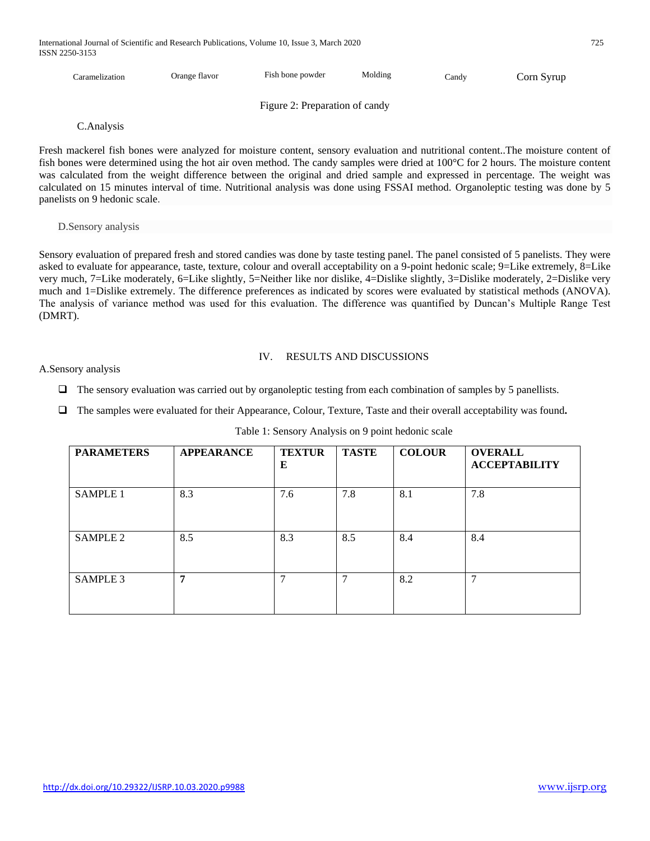International Journal of Scientific and Research Publications, Volume 10, Issue 3, March 2020 725 ISSN 2250-3153

| Caramelization | Orange flavor | Fish bone powder               | Molding | Candy | Corn Syrup |
|----------------|---------------|--------------------------------|---------|-------|------------|
|                |               | Figure 2: Preparation of candy |         |       |            |

C.Analysis

Fresh mackerel fish bones were analyzed for moisture content, sensory evaluation and nutritional content..The moisture content of fish bones were determined using the hot air oven method. The candy samples were dried at 100°C for 2 hours. The moisture content was calculated from the weight difference between the original and dried sample and expressed in percentage. The weight was calculated on 15 minutes interval of time. Nutritional analysis was done using FSSAI method. Organoleptic testing was done by 5 panelists on 9 hedonic scale.

#### D.Sensory analysis

Sensory evaluation of prepared fresh and stored candies was done by taste testing panel. The panel consisted of 5 panelists. They were asked to evaluate for appearance, taste, texture, colour and overall acceptability on a 9-point hedonic scale; 9=Like extremely, 8=Like very much, 7=Like moderately, 6=Like slightly, 5=Neither like nor dislike, 4=Dislike slightly, 3=Dislike moderately, 2=Dislike very much and 1=Dislike extremely. The difference preferences as indicated by scores were evaluated by statistical methods (ANOVA). The analysis of variance method was used for this evaluation. The difference was quantified by Duncan's Multiple Range Test (DMRT).

#### IV. RESULTS AND DISCUSSIONS

A.Sensory analysis

 $\Box$  The sensory evaluation was carried out by organoleptic testing from each combination of samples by 5 panellists.

The samples were evaluated for their Appearance, Colour, Texture, Taste and their overall acceptability was found**.**

| <b>PARAMETERS</b> | <b>APPEARANCE</b> | <b>TEXTUR</b><br>E | <b>TASTE</b> | <b>COLOUR</b> | <b>OVERALL</b><br><b>ACCEPTABILITY</b> |
|-------------------|-------------------|--------------------|--------------|---------------|----------------------------------------|
| <b>SAMPLE 1</b>   | 8.3               | 7.6                | 7.8          | 8.1           | 7.8                                    |
| <b>SAMPLE 2</b>   | 8.5               | 8.3                | 8.5          | 8.4           | 8.4                                    |
| SAMPLE 3          | 7                 | 7                  | 7            | 8.2           | 7                                      |

#### Table 1: Sensory Analysis on 9 point hedonic scale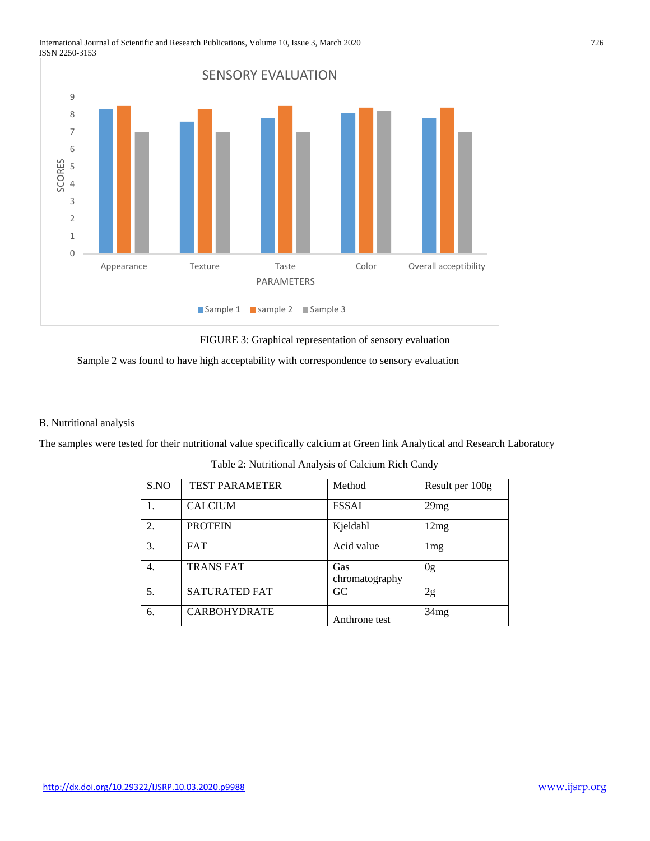#### International Journal of Scientific and Research Publications, Volume 10, Issue 3, March 2020 726 ISSN 2250-3153



FIGURE 3: Graphical representation of sensory evaluation



#### B. Nutritional analysis

The samples were tested for their nutritional value specifically calcium at Green link Analytical and Research Laboratory

| S.NO | <b>TEST PARAMETER</b> | Method                | Result per 100g |
|------|-----------------------|-----------------------|-----------------|
| 1.   | <b>CALCIUM</b>        | <b>FSSAI</b>          | 29mg            |
| 2.   | <b>PROTEIN</b>        | Kjeldahl              | 12mg            |
| 3.   | <b>FAT</b>            | Acid value            | 1mg             |
| 4.   | <b>TRANS FAT</b>      | Gas<br>chromatography | 0 <sub>g</sub>  |
| 5.   | <b>SATURATED FAT</b>  | GC                    | 2g              |
| 6.   | <b>CARBOHYDRATE</b>   | Anthrone test         | 34mg            |

Table 2: Nutritional Analysis of Calcium Rich Candy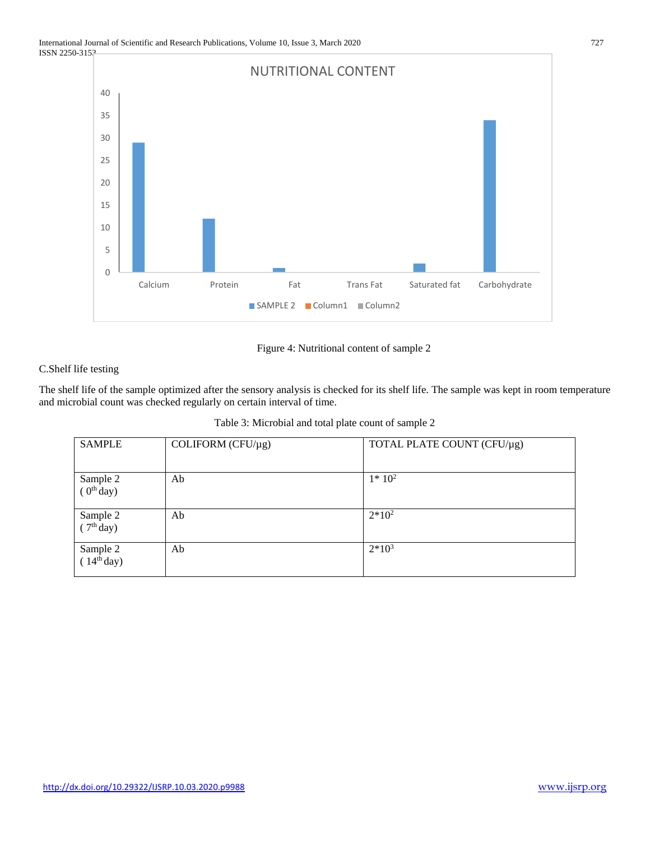

# Figure 4: Nutritional content of sample 2

# C.Shelf life testing

The shelf life of the sample optimized after the sensory analysis is checked for its shelf life. The sample was kept in room temperature and microbial count was checked regularly on certain interval of time.

| <b>SAMPLE</b>                      | COLIFORM ( $CFU/\mu$ g) | TOTAL PLATE COUNT (CFU/µg) |
|------------------------------------|-------------------------|----------------------------|
| Sample 2<br>$(0th$ day)            | Ab                      | $1*10^2$                   |
| Sample 2<br>(7 <sup>th</sup> day)  | Ab                      | $2*10^2$                   |
| Sample 2<br>(14 <sup>th</sup> day) | Ab                      | $2*10^3$                   |

Table 3: Microbial and total plate count of sample 2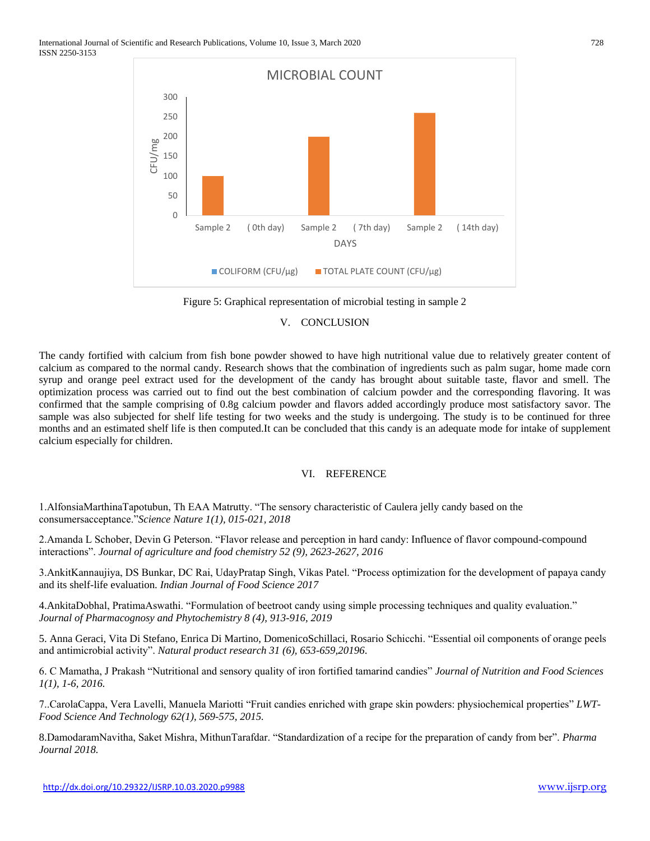

Figure 5: Graphical representation of microbial testing in sample 2

#### V. CONCLUSION

The candy fortified with calcium from fish bone powder showed to have high nutritional value due to relatively greater content of calcium as compared to the normal candy. Research shows that the combination of ingredients such as palm sugar, home made corn syrup and orange peel extract used for the development of the candy has brought about suitable taste, flavor and smell. The optimization process was carried out to find out the best combination of calcium powder and the corresponding flavoring. It was confirmed that the sample comprising of 0.8g calcium powder and flavors added accordingly produce most satisfactory savor. The sample was also subjected for shelf life testing for two weeks and the study is undergoing. The study is to be continued for three months and an estimated shelf life is then computed.It can be concluded that this candy is an adequate mode for intake of supplement calcium especially for children.

## VI. REFERENCE

1.AlfonsiaMarthinaTapotubun, Th EAA Matrutty. "The sensory characteristic of Caulera jelly candy based on the consumersacceptance."*Science Nature 1(1), 015-021, 2018*

2.Amanda L Schober, Devin G Peterson. "Flavor release and perception in hard candy: Influence of flavor compound-compound interactions". *Journal of agriculture and food chemistry 52 (9), 2623-2627, 2016*

3.AnkitKannaujiya, DS Bunkar, DC Rai, UdayPratap Singh, Vikas Patel. "Process optimization for the development of papaya candy and its shelf-life evaluation. *Indian Journal of Food Science 2017*

4.AnkitaDobhal, PratimaAswathi. "Formulation of beetroot candy using simple processing techniques and quality evaluation." *Journal of Pharmacognosy and Phytochemistry 8 (4), 913-916, 2019*

5. Anna Geraci, Vita Di Stefano, Enrica Di Martino, DomenicoSchillaci, Rosario Schicchi. "Essential oil components of orange peels and antimicrobial activity". *Natural product research 31 (6), 653-659,20196*.

6. C Mamatha, J Prakash "Nutritional and sensory quality of iron fortified tamarind candies" *Journal of Nutrition and Food Sciences 1(1), 1-6, 2016.*

7..CarolaCappa, Vera Lavelli, Manuela Mariotti "Fruit candies enriched with grape skin powders: physiochemical properties" *LWT-Food Science And Technology 62(1), 569-575, 2015.*

8.DamodaramNavitha, Saket Mishra, MithunTarafdar. "Standardization of a recipe for the preparation of candy from ber". *Pharma Journal 2018.*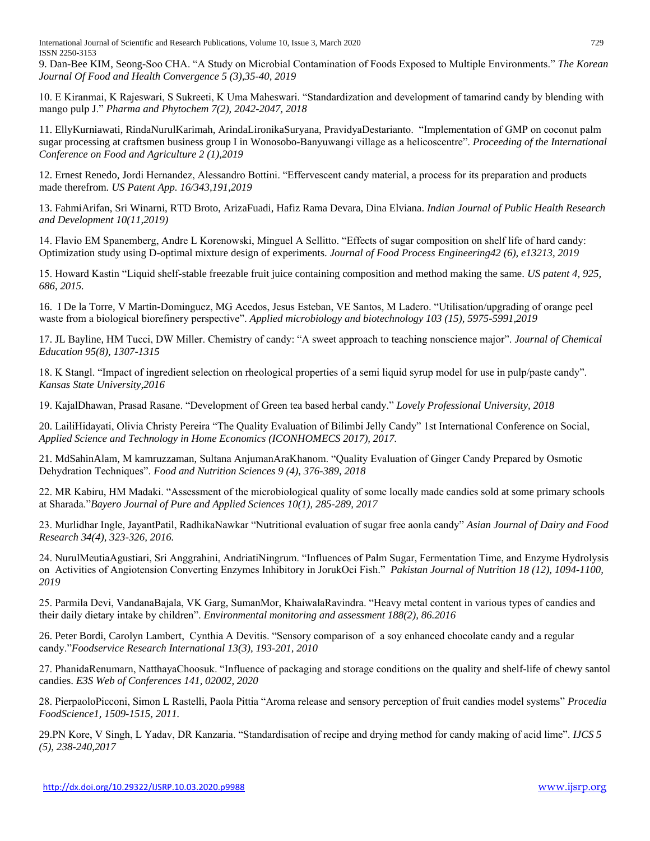International Journal of Scientific and Research Publications, Volume 10, Issue 3, March 2020 729 ISSN 2250-3153

9. Dan-Bee KIM, Seong-Soo CHA. "A Study on Microbial Contamination of Foods Exposed to Multiple Environments." *The Korean Journal Of Food and Health Convergence 5 (3),35-40, 2019*

10. E Kiranmai, K Rajeswari, S Sukreeti, K Uma Maheswari. "Standardization and development of tamarind candy by blending with mango pulp J." *Pharma and Phytochem 7(2), 2042-2047, 2018*

11. EllyKurniawati, RindaNurulKarimah, ArindaLironikaSuryana, PravidyaDestarianto. "Implementation of GMP on coconut palm sugar processing at craftsmen business group I in Wonosobo-Banyuwangi village as a helicoscentre". *Proceeding of the International Conference on Food and Agriculture 2 (1),2019*

12. Ernest Renedo, Jordi Hernandez, Alessandro Bottini. "Effervescent candy material, a process for its preparation and products made therefrom. *US Patent App. 16/343,191,2019*

13. FahmiArifan, Sri Winarni, RTD Broto, ArizaFuadi, Hafiz Rama Devara, Dina Elviana. *Indian Journal of Public Health Research and Development 10(11,2019)*

14. Flavio EM Spanemberg, Andre L Korenowski, Minguel A Sellitto. "Effects of sugar composition on shelf life of hard candy: Optimization study using D-optimal mixture design of experiments. *Journal of Food Process Engineering42 (6), e13213, 2019*

15. Howard Kastin "Liquid shelf-stable freezable fruit juice containing composition and method making the same. *US patent 4, 925, 686, 2015.*

16. I De la Torre, V Martin-Dominguez, MG Acedos, Jesus Esteban, VE Santos, M Ladero. "Utilisation/upgrading of orange peel waste from a biological biorefinery perspective". *Applied microbiology and biotechnology 103 (15), 5975-5991,2019*

17. JL Bayline, HM Tucci, DW Miller. Chemistry of candy: "A sweet approach to teaching nonscience major". *Journal of Chemical Education 95(8), 1307-1315*

18. K Stangl. "Impact of ingredient selection on rheological properties of a semi liquid syrup model for use in pulp/paste candy". *Kansas State University,2016*

19. KajalDhawan, Prasad Rasane. "Development of Green tea based herbal candy." *Lovely Professional University, 2018*

20. LailiHidayati, Olivia Christy Pereira "The Quality Evaluation of Bilimbi Jelly Candy" 1st International Conference on Social, *Applied Science and Technology in Home Economics (ICONHOMECS 2017), 2017.*

21. MdSahinAlam, M kamruzzaman, Sultana AnjumanAraKhanom. "Quality Evaluation of Ginger Candy Prepared by Osmotic Dehydration Techniques". *Food and Nutrition Sciences 9 (4), 376-389, 2018*

22. MR Kabiru, HM Madaki. "Assessment of the microbiological quality of some locally made candies sold at some primary schools at Sharada."*Bayero Journal of Pure and Applied Sciences 10(1), 285-289, 2017*

23. Murlidhar Ingle, JayantPatil, RadhikaNawkar "Nutritional evaluation of sugar free aonla candy" *Asian Journal of Dairy and Food Research 34(4), 323-326, 2016.*

24. NurulMeutiaAgustiari, Sri Anggrahini, AndriatiNingrum. "Influences of Palm Sugar, Fermentation Time, and Enzyme Hydrolysis on Activities of Angiotension Converting Enzymes Inhibitory in JorukOci Fish." *Pakistan Journal of Nutrition 18 (12), 1094-1100, 2019*

25. Parmila Devi, VandanaBajala, VK Garg, SumanMor, KhaiwalaRavindra. "Heavy metal content in various types of candies and their daily dietary intake by children". *Environmental monitoring and assessment 188(2), 86.2016*

26. Peter Bordi, Carolyn Lambert, Cynthia A Devitis. "Sensory comparison of a soy enhanced chocolate candy and a regular candy."*Foodservice Research International 13(3), 193-201, 2010*

27. PhanidaRenumarn, NatthayaChoosuk. "Influence of packaging and storage conditions on the quality and shelf-life of chewy santol candies. *E3S Web of Conferences 141, 02002, 2020*

28. PierpaoloPicconi, Simon L Rastelli, Paola Pittia "Aroma release and sensory perception of fruit candies model systems" *Procedia FoodScience1, 1509-1515, 2011.*

29.PN Kore, V Singh, L Yadav, DR Kanzaria. "Standardisation of recipe and drying method for candy making of acid lime". *IJCS 5 (5), 238-240,2017*